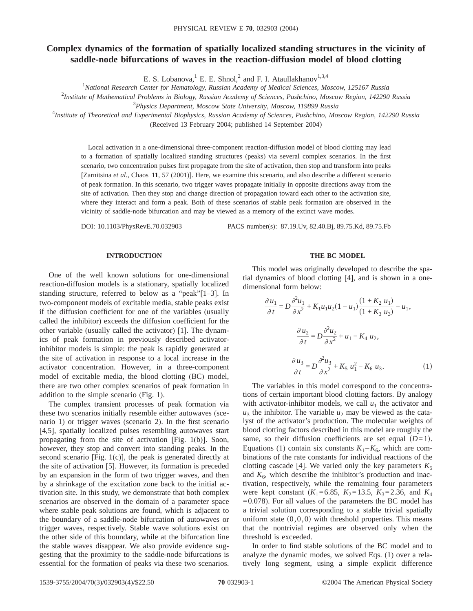# **Complex dynamics of the formation of spatially localized standing structures in the vicinity of saddle-node bifurcations of waves in the reaction-diffusion model of blood clotting**

E. S. Lobanova, <sup>1</sup> E. E. Shnol,<sup>2</sup> and F. I. Ataullakhanov<sup>1,3,4</sup>

1 *National Research Center for Hematology, Russian Academy of Medical Sciences, Moscow, 125167 Russia*

2 *Institute of Mathematical Problems in Biology, Russian Academy of Sciences, Pushchino, Moscow Region, 142290 Russia*

3 *Physics Department, Moscow State University, Moscow, 119899 Russia*

4 *Institute of Theoretical and Experimental Biophysics, Russian Academy of Sciences, Pushchino, Moscow Region, 142290 Russia* (Received 13 February 2004; published 14 September 2004)

Local activation in a one-dimensional three-component reaction-diffusion model of blood clotting may lead to a formation of spatially localized standing structures (peaks) via several complex scenarios. In the first scenario, two concentration pulses first propagate from the site of activation, then stop and transform into peaks [Zarnitsina *et al.*, Chaos **11**, 57 (2001)]. Here, we examine this scenario, and also describe a different scenario of peak formation. In this scenario, two trigger waves propagate initially in opposite directions away from the site of activation. Then they stop and change direction of propagation toward each other to the activation site, where they interact and form a peak. Both of these scenarios of stable peak formation are observed in the vicinity of saddle-node bifurcation and may be viewed as a memory of the extinct wave modes.

DOI: 10.1103/PhysRevE.70.032903 PACS number(s): 87.19.Uv, 82.40.Bj, 89.75.Kd, 89.75.Fb

# **INTRODUCTION**

One of the well known solutions for one-dimensional reaction-diffusion models is a stationary, spatially localized standing structure, referred to below as a "peak"[1–3]. In two-component models of excitable media, stable peaks exist if the diffusion coefficient for one of the variables (usually called the inhibitor) exceeds the diffusion coefficient for the other variable (usually called the activator) [1]. The dynamics of peak formation in previously described activatorinhibitor models is simple: the peak is rapidly generated at the site of activation in response to a local increase in the activator concentration. However, in a three-component model of excitable media, the blood clotting (BC) model, there are two other complex scenarios of peak formation in addition to the simple scenario (Fig. 1).

The complex transient processes of peak formation via these two scenarios initially resemble either autowaves (scenario 1) or trigger waves (scenario 2). In the first scenario [4,5], spatially localized pulses resembling autowaves start propagating from the site of activation [Fig. 1(b)]. Soon, however, they stop and convert into standing peaks. In the second scenario [Fig. 1(c)], the peak is generated directly at the site of activation [5]. However, its formation is preceded by an expansion in the form of two trigger waves, and then by a shrinkage of the excitation zone back to the initial activation site. In this study, we demonstrate that both complex scenarios are observed in the domain of a parameter space where stable peak solutions are found, which is adjacent to the boundary of a saddle-node bifurcation of autowaves or trigger waves, respectively. Stable wave solutions exist on the other side of this boundary, while at the bifurcation line the stable waves disappear. We also provide evidence suggesting that the proximity to the saddle-node bifurcations is essential for the formation of peaks via these two scenarios.

# **THE BC MODEL**

This model was originally developed to describe the spatial dynamics of blood clotting [4], and is shown in a onedimensional form below:

$$
\frac{\partial u_1}{\partial t} = D \frac{\partial^2 u_1}{\partial x^2} + K_1 u_1 u_2 (1 - u_1) \frac{(1 + K_2 u_1)}{(1 + K_3 u_3)} - u_1,
$$

$$
\frac{\partial u_2}{\partial t} = D \frac{\partial^2 u_2}{\partial x^2} + u_1 - K_4 u_2,
$$

$$
\frac{\partial u_3}{\partial t} = D \frac{\partial^2 u_3}{\partial x^2} + K_5 u_1^2 - K_6 u_3.
$$
(1)

The variables in this model correspond to the concentrations of certain important blood clotting factors. By analogy with activator-inhibitor models, we call  $u_1$  the activator and  $u_3$  the inhibitor. The variable  $u_2$  may be viewed as the catalyst of the activator's production. The molecular weights of blood clotting factors described in this model are roughly the same, so their diffusion coefficients are set equal  $(D=1)$ . Equations (1) contain six constants  $K_1 - K_6$ , which are combinations of the rate constants for individual reactions of the clotting cascade [4]. We varied only the key parameters  $K_5$ and  $K_6$ , which describe the inhibitor's production and inactivation, respectively, while the remaining four parameters were kept constant  $(K_1=6.85, K_2=13.5, K_3=2.36,$  and  $K_4$  $=0.078$ ). For all values of the parameters the BC model has a trivial solution corresponding to a stable trivial spatially uniform state  $(0,0,0)$  with threshold properties. This means that the nontrivial regimes are observed only when the threshold is exceeded.

In order to find stable solutions of the BC model and to analyze the dynamic modes, we solved Eqs. (1) over a relatively long segment, using a simple explicit difference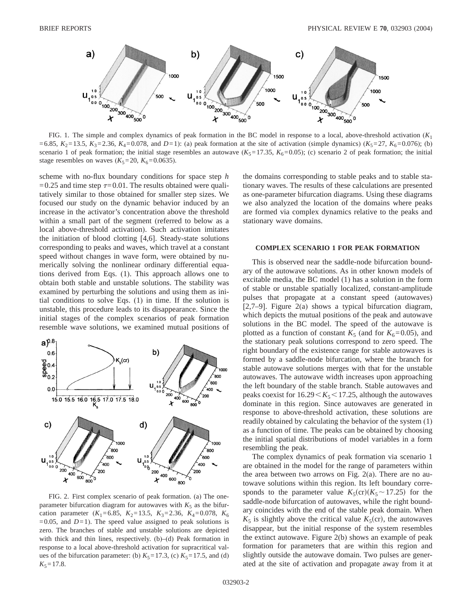

FIG. 1. The simple and complex dynamics of peak formation in the BC model in response to a local, above-threshold activation (*K*<sup>1</sup> =6.85,  $K_2$ =13.5,  $K_3$ =2.36,  $K_4$ =0.078, and *D*=1): (a) peak formation at the site of activation (simple dynamics) ( $K_5$ =27,  $K_6$ =0.076); (b) scenario 1 of peak formation; the initial stage resembles an autowave  $(K_5=17.35, K_6=0.05)$ ; (c) scenario 2 of peak formation; the initial stage resembles on waves  $(K_5=20, K_6=0.0635)$ .

scheme with no-flux boundary conditions for space step *h* =0.25 and time step  $\tau$ =0.01. The results obtained were qualitatively similar to those obtained for smaller step sizes. We focused our study on the dynamic behavior induced by an increase in the activator's concentration above the threshold within a small part of the segment (referred to below as a local above-threshold activation). Such activation imitates the initiation of blood clotting [4,6]. Steady-state solutions corresponding to peaks and waves, which travel at a constant speed without changes in wave form, were obtained by numerically solving the nonlinear ordinary differential equations derived from Eqs. (1). This approach allows one to obtain both stable and unstable solutions. The stability was examined by perturbing the solutions and using them as initial conditions to solve Eqs. (1) in time. If the solution is unstable, this procedure leads to its disappearance. Since the initial stages of the complex scenarios of peak formation resemble wave solutions, we examined mutual positions of



FIG. 2. First complex scenario of peak formation. (a) The oneparameter bifurcation diagram for autowaves with  $K_5$  as the bifurcation parameter  $(K_1=6.85, K_2=13.5, K_3=2.36, K_4=0.078, K_6$  $=0.05$ , and  $D=1$ ). The speed value assigned to peak solutions is zero. The branches of stable and unstable solutions are depicted with thick and thin lines, respectively. (b)–(d) Peak formation in response to a local above-threshold activation for supracritical values of the bifurcation parameter: (b)  $K_5=17.3$ , (c)  $K_5=17.5$ , and (d)  $K_5 = 17.8$ .

the domains corresponding to stable peaks and to stable stationary waves. The results of these calculations are presented as one-parameter bifurcation diagrams. Using these diagrams we also analyzed the location of the domains where peaks are formed via complex dynamics relative to the peaks and stationary wave domains.

#### **COMPLEX SCENARIO 1 FOR PEAK FORMATION**

This is observed near the saddle-node bifurcation boundary of the autowave solutions. As in other known models of excitable media, the BC model (1) has a solution in the form of stable or unstable spatially localized, constant-amplitude pulses that propagate at a constant speed (autowaves) [2,7–9]. Figure 2(a) shows a typical bifurcation diagram, which depicts the mutual positions of the peak and autowave solutions in the BC model. The speed of the autowave is plotted as a function of constant  $K_5$  (and for  $K_6$ =0.05), and the stationary peak solutions correspond to zero speed. The right boundary of the existence range for stable autowaves is formed by a saddle-node bifurcation, where the branch for stable autowave solutions merges with that for the unstable autowaves. The autowave width increases upon approaching the left boundary of the stable branch. Stable autowaves and peaks coexist for  $16.29 \leq K_5 \leq 17.25$ , although the autowaves dominate in this region. Since autowaves are generated in response to above-threshold activation, these solutions are readily obtained by calculating the behavior of the system (1) as a function of time. The peaks can be obtained by choosing the initial spatial distributions of model variables in a form resembling the peak.

The complex dynamics of peak formation via scenario 1 are obtained in the model for the range of parameters within the area between two arrows on Fig.  $2(a)$ . There are no autowave solutions within this region. Its left boundary corresponds to the parameter value  $K_5(\text{cr})(K_5 \sim 17.25)$  for the saddle-node bifurcation of autowaves, while the right boundary coincides with the end of the stable peak domain. When  $K_5$  is slightly above the critical value  $K_5$ (cr), the autowaves disappear, but the initial response of the system resembles the extinct autowave. Figure 2(b) shows an example of peak formation for parameters that are within this region and slightly outside the autowave domain. Two pulses are generated at the site of activation and propagate away from it at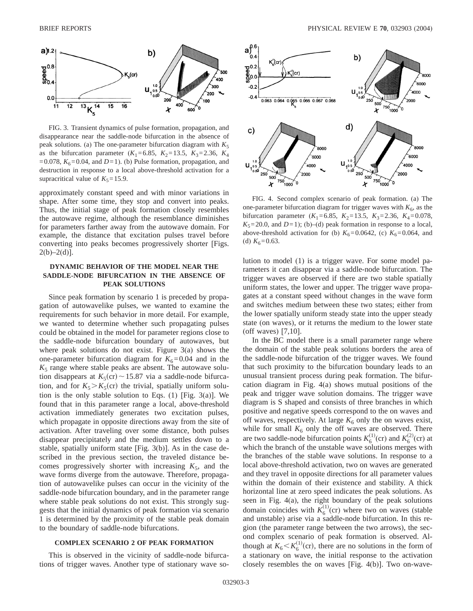

FIG. 3. Transient dynamics of pulse formation, propagation, and disappearance near the saddle-node bifurcation in the absence of peak solutions. (a) The one-parameter bifurcation diagram with  $K_5$ as the bifurcation parameter  $(K_1=6.85, K_2=13.5, K_3=2.36, K_4$  $=0.078$ ,  $K_6 = 0.04$ , and  $D=1$ ). (b) Pulse formation, propagation, and destruction in response to a local above-threshold activation for a supracritical value of  $K_5 = 15.9$ .

approximately constant speed and with minor variations in shape. After some time, they stop and convert into peaks. Thus, the initial stage of peak formation closely resembles the autowave regime, although the resemblance diminishes for parameters farther away from the autowave domain. For example, the distance that excitation pulses travel before converting into peaks becomes progressively shorter [Figs.  $2(b)-2(d)$ ].

# **DYNAMIC BEHAVIOR OF THE MODEL NEAR THE SADDLE-NODE BIFURCATION IN THE ABSENCE OF PEAK SOLUTIONS**

Since peak formation by scenario 1 is preceded by propagation of autowavelike pulses, we wanted to examine the requirements for such behavior in more detail. For example, we wanted to determine whether such propagating pulses could be obtained in the model for parameter regions close to the saddle-node bifurcation boundary of autowaves, but where peak solutions do not exist. Figure 3(a) shows the one-parameter bifurcation diagram for  $K_6$ =0.04 and in the  $K_5$  range where stable peaks are absent. The autowave solution disappears at  $K_5$ (cr) ~ 15.87 via a saddle-node bifurcation, and for  $K_5 > K_5$ (cr) the trivial, spatially uniform solution is the only stable solution to Eqs.  $(1)$  [Fig. 3(a)]. We found that in this parameter range a local, above-threshold activation immediately generates two excitation pulses, which propagate in opposite directions away from the site of activation. After traveling over some distance, both pulses disappear precipitately and the medium settles down to a stable, spatially uniform state [Fig. 3(b)]. As in the case described in the previous section, the traveled distance becomes progressively shorter with increasing  $K_5$ , and the wave forms diverge from the autowave. Therefore, propagation of autowavelike pulses can occur in the vicinity of the saddle-node bifurcation boundary, and in the parameter range where stable peak solutions do not exist. This strongly suggests that the initial dynamics of peak formation via scenario 1 is determined by the proximity of the stable peak domain to the boundary of saddle-node bifurcations.

# **COMPLEX SCENARIO 2 OF PEAK FORMATION**

This is observed in the vicinity of saddle-node bifurcations of trigger waves. Another type of stationary wave so-



FIG. 4. Second complex scenario of peak formation. (a) The one-parameter bifurcation diagram for trigger waves with  $K_6$ , as the bifurcation parameter ( $K_1$ =6.85,  $K_2$ =13.5,  $K_3$ =2.36,  $K_4$ =0.078,  $K_5 = 20.0$ , and  $D=1$ ); (b)–(d) peak formation in response to a local, above-threshold activation for (b)  $K_6=0.0642$ , (c)  $K_6=0.064$ , and (d)  $K_6$ =0.63.

lution to model (1) is a trigger wave. For some model parameters it can disappear via a saddle-node bifurcation. The trigger waves are observed if there are two stable spatially uniform states, the lower and upper. The trigger wave propagates at a constant speed without changes in the wave form and switches medium between these two states; either from the lower spatially uniform steady state into the upper steady state (on waves), or it returns the medium to the lower state (off waves) [7,10].

In the BC model there is a small parameter range where the domain of the stable peak solutions borders the area of the saddle-node bifurcation of the trigger waves. We found that such proximity to the bifurcation boundary leads to an unusual transient process during peak formation. The bifurcation diagram in Fig. 4(a) shows mutual positions of the peak and trigger wave solution domains. The trigger wave diagram is S shaped and consists of three branches in which positive and negative speeds correspond to the on waves and off waves, respectively. At large  $K_6$  only the on waves exist, while for small  $K_6$  only the off waves are observed. There are two saddle-node bifurcation points  $K_6^{(1)}$ (cr) and  $K_6^{(2)}$ (cr) at which the branch of the unstable wave solutions merges with the branches of the stable wave solutions. In response to a local above-threshold activation, two on waves are generated and they travel in opposite directions for all parameter values within the domain of their existence and stability. A thick horizontal line at zero speed indicates the peak solutions. As seen in Fig. 4(a), the right boundary of the peak solutions domain coincides with  $K_6^{(1)}$ (cr) where two on waves (stable and unstable) arise via a saddle-node bifurcation. In this region (the parameter range between the two arrows), the second complex scenario of peak formation is observed. Although at  $K_6 < K_6^{(1)}$  (cr), there are no solutions in the form of a stationary on wave, the initial response to the activation closely resembles the on waves [Fig. 4(b)]. Two on-wave